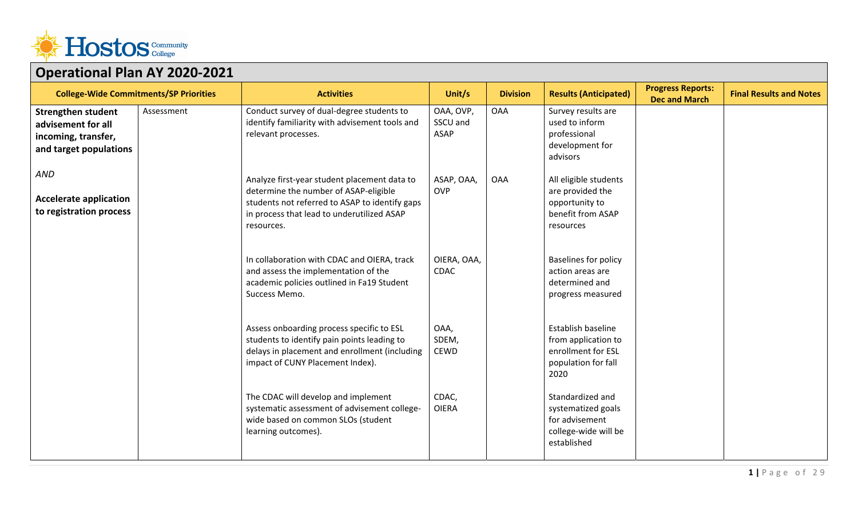

| . . <b>.</b><br><b>College-Wide Commitments/SP Priorities</b>                                    |            | <b>Activities</b>                                                                                                                                                                                   | Unit/s                               | <b>Division</b> | <b>Results (Anticipated)</b>                                                                    | <b>Progress Reports:</b> | <b>Final Results and Notes</b> |
|--------------------------------------------------------------------------------------------------|------------|-----------------------------------------------------------------------------------------------------------------------------------------------------------------------------------------------------|--------------------------------------|-----------------|-------------------------------------------------------------------------------------------------|--------------------------|--------------------------------|
| <b>Strengthen student</b><br>advisement for all<br>incoming, transfer,<br>and target populations | Assessment | Conduct survey of dual-degree students to<br>identify familiarity with advisement tools and<br>relevant processes.                                                                                  | OAA, OVP,<br>SSCU and<br><b>ASAP</b> | <b>OAA</b>      | Survey results are<br>used to inform<br>professional<br>development for<br>advisors             | <b>Dec and March</b>     |                                |
| <b>AND</b><br><b>Accelerate application</b><br>to registration process                           |            | Analyze first-year student placement data to<br>determine the number of ASAP-eligible<br>students not referred to ASAP to identify gaps<br>in process that lead to underutilized ASAP<br>resources. | ASAP, OAA,<br><b>OVP</b>             | <b>OAA</b>      | All eligible students<br>are provided the<br>opportunity to<br>benefit from ASAP<br>resources   |                          |                                |
|                                                                                                  |            | In collaboration with CDAC and OIERA, track<br>and assess the implementation of the<br>academic policies outlined in Fa19 Student<br>Success Memo.                                                  | OIERA, OAA,<br>CDAC                  |                 | <b>Baselines for policy</b><br>action areas are<br>determined and<br>progress measured          |                          |                                |
|                                                                                                  |            | Assess onboarding process specific to ESL<br>students to identify pain points leading to<br>delays in placement and enrollment (including<br>impact of CUNY Placement Index).                       | OAA,<br>SDEM,<br><b>CEWD</b>         |                 | Establish baseline<br>from application to<br>enrollment for ESL<br>population for fall<br>2020  |                          |                                |
|                                                                                                  |            | The CDAC will develop and implement<br>systematic assessment of advisement college-<br>wide based on common SLOs (student<br>learning outcomes).                                                    | CDAC,<br><b>OIERA</b>                |                 | Standardized and<br>systematized goals<br>for advisement<br>college-wide will be<br>established |                          |                                |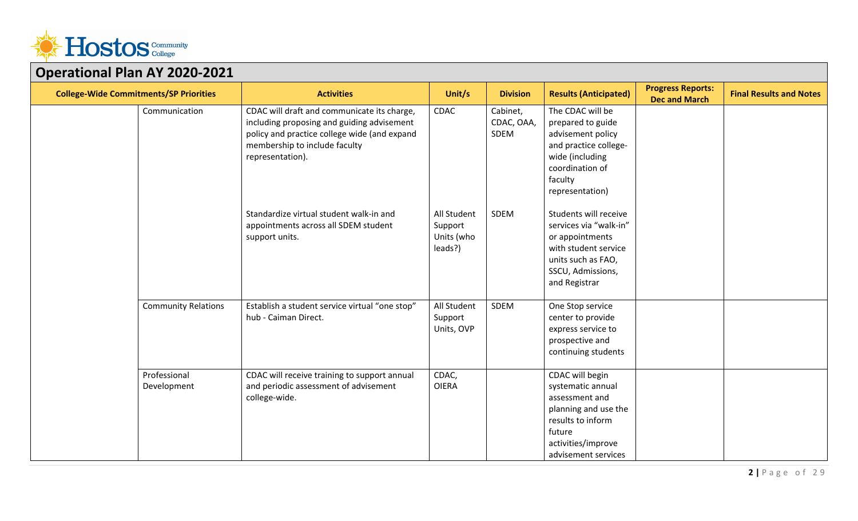

| OPCTUMONUT TUH AT 2020 2021                   |                             |                                                                                                                                                                                                |                                                 |                                |                                                                                                                                                            |                                                  |                                |
|-----------------------------------------------|-----------------------------|------------------------------------------------------------------------------------------------------------------------------------------------------------------------------------------------|-------------------------------------------------|--------------------------------|------------------------------------------------------------------------------------------------------------------------------------------------------------|--------------------------------------------------|--------------------------------|
| <b>College-Wide Commitments/SP Priorities</b> |                             | <b>Activities</b>                                                                                                                                                                              | Unit/s                                          | <b>Division</b>                | <b>Results (Anticipated)</b>                                                                                                                               | <b>Progress Reports:</b><br><b>Dec and March</b> | <b>Final Results and Notes</b> |
|                                               | Communication               | CDAC will draft and communicate its charge,<br>including proposing and guiding advisement<br>policy and practice college wide (and expand<br>membership to include faculty<br>representation). | <b>CDAC</b>                                     | Cabinet,<br>CDAC, OAA,<br>SDEM | The CDAC will be<br>prepared to guide<br>advisement policy<br>and practice college-<br>wide (including<br>coordination of<br>faculty<br>representation)    |                                                  |                                |
|                                               |                             | Standardize virtual student walk-in and<br>appointments across all SDEM student<br>support units.                                                                                              | All Student<br>Support<br>Units (who<br>leads?) | SDEM                           | Students will receive<br>services via "walk-in"<br>or appointments<br>with student service<br>units such as FAO,<br>SSCU, Admissions,<br>and Registrar     |                                                  |                                |
|                                               | <b>Community Relations</b>  | Establish a student service virtual "one stop"<br>hub - Caiman Direct.                                                                                                                         | All Student<br>Support<br>Units, OVP            | SDEM                           | One Stop service<br>center to provide<br>express service to<br>prospective and<br>continuing students                                                      |                                                  |                                |
|                                               | Professional<br>Development | CDAC will receive training to support annual<br>and periodic assessment of advisement<br>college-wide.                                                                                         | CDAC,<br><b>OIERA</b>                           |                                | CDAC will begin<br>systematic annual<br>assessment and<br>planning and use the<br>results to inform<br>future<br>activities/improve<br>advisement services |                                                  |                                |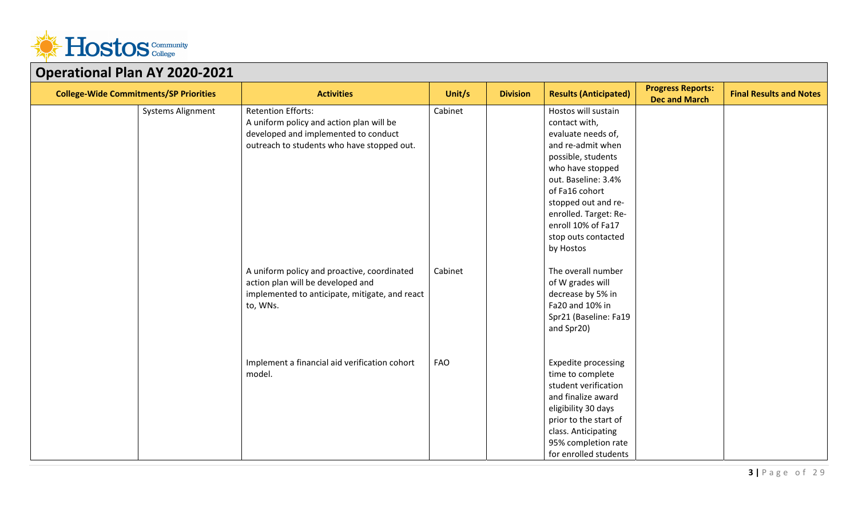

| . . <b>. .</b>                                |                                                |         |                 |                              |                                                  |                                |
|-----------------------------------------------|------------------------------------------------|---------|-----------------|------------------------------|--------------------------------------------------|--------------------------------|
| <b>College-Wide Commitments/SP Priorities</b> | <b>Activities</b>                              | Unit/s  | <b>Division</b> | <b>Results (Anticipated)</b> | <b>Progress Reports:</b><br><b>Dec and March</b> | <b>Final Results and Notes</b> |
| Systems Alignment                             | <b>Retention Efforts:</b>                      | Cabinet |                 | Hostos will sustain          |                                                  |                                |
|                                               | A uniform policy and action plan will be       |         |                 | contact with,                |                                                  |                                |
|                                               | developed and implemented to conduct           |         |                 | evaluate needs of,           |                                                  |                                |
|                                               | outreach to students who have stopped out.     |         |                 | and re-admit when            |                                                  |                                |
|                                               |                                                |         |                 | possible, students           |                                                  |                                |
|                                               |                                                |         |                 | who have stopped             |                                                  |                                |
|                                               |                                                |         |                 | out. Baseline: 3.4%          |                                                  |                                |
|                                               |                                                |         |                 | of Fa16 cohort               |                                                  |                                |
|                                               |                                                |         |                 | stopped out and re-          |                                                  |                                |
|                                               |                                                |         |                 | enrolled. Target: Re-        |                                                  |                                |
|                                               |                                                |         |                 | enroll 10% of Fa17           |                                                  |                                |
|                                               |                                                |         |                 | stop outs contacted          |                                                  |                                |
|                                               |                                                |         |                 | by Hostos                    |                                                  |                                |
|                                               | A uniform policy and proactive, coordinated    | Cabinet |                 | The overall number           |                                                  |                                |
|                                               | action plan will be developed and              |         |                 | of W grades will             |                                                  |                                |
|                                               | implemented to anticipate, mitigate, and react |         |                 | decrease by 5% in            |                                                  |                                |
|                                               | to, WNs.                                       |         |                 | Fa20 and 10% in              |                                                  |                                |
|                                               |                                                |         |                 | Spr21 (Baseline: Fa19        |                                                  |                                |
|                                               |                                                |         |                 | and Spr20)                   |                                                  |                                |
|                                               |                                                |         |                 |                              |                                                  |                                |
|                                               |                                                |         |                 |                              |                                                  |                                |
|                                               | Implement a financial aid verification cohort  | FAO     |                 | Expedite processing          |                                                  |                                |
|                                               | model.                                         |         |                 | time to complete             |                                                  |                                |
|                                               |                                                |         |                 | student verification         |                                                  |                                |
|                                               |                                                |         |                 | and finalize award           |                                                  |                                |
|                                               |                                                |         |                 | eligibility 30 days          |                                                  |                                |
|                                               |                                                |         |                 | prior to the start of        |                                                  |                                |
|                                               |                                                |         |                 | class. Anticipating          |                                                  |                                |
|                                               |                                                |         |                 | 95% completion rate          |                                                  |                                |
|                                               |                                                |         |                 | for enrolled students        |                                                  |                                |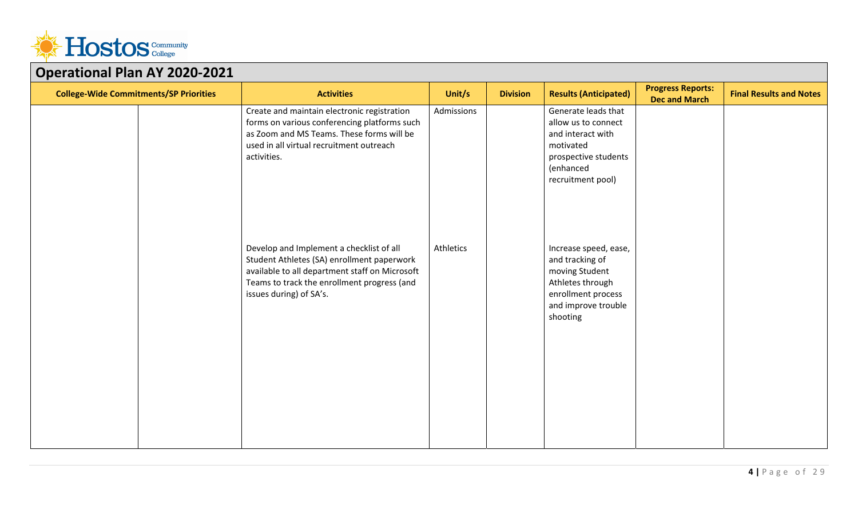

| OPCIULIONUI I IUII AI LULU LULI               |                                                                                                                                                                                                                    |            |                 |                                                                                                                                         |                                                  |                                |
|-----------------------------------------------|--------------------------------------------------------------------------------------------------------------------------------------------------------------------------------------------------------------------|------------|-----------------|-----------------------------------------------------------------------------------------------------------------------------------------|--------------------------------------------------|--------------------------------|
| <b>College-Wide Commitments/SP Priorities</b> | <b>Activities</b>                                                                                                                                                                                                  | Unit/s     | <b>Division</b> | <b>Results (Anticipated)</b>                                                                                                            | <b>Progress Reports:</b><br><b>Dec and March</b> | <b>Final Results and Notes</b> |
|                                               | Create and maintain electronic registration<br>forms on various conferencing platforms such<br>as Zoom and MS Teams. These forms will be<br>used in all virtual recruitment outreach<br>activities.                | Admissions |                 | Generate leads that<br>allow us to connect<br>and interact with<br>motivated<br>prospective students<br>(enhanced<br>recruitment pool)  |                                                  |                                |
|                                               | Develop and Implement a checklist of all<br>Student Athletes (SA) enrollment paperwork<br>available to all department staff on Microsoft<br>Teams to track the enrollment progress (and<br>issues during) of SA's. | Athletics  |                 | Increase speed, ease,<br>and tracking of<br>moving Student<br>Athletes through<br>enrollment process<br>and improve trouble<br>shooting |                                                  |                                |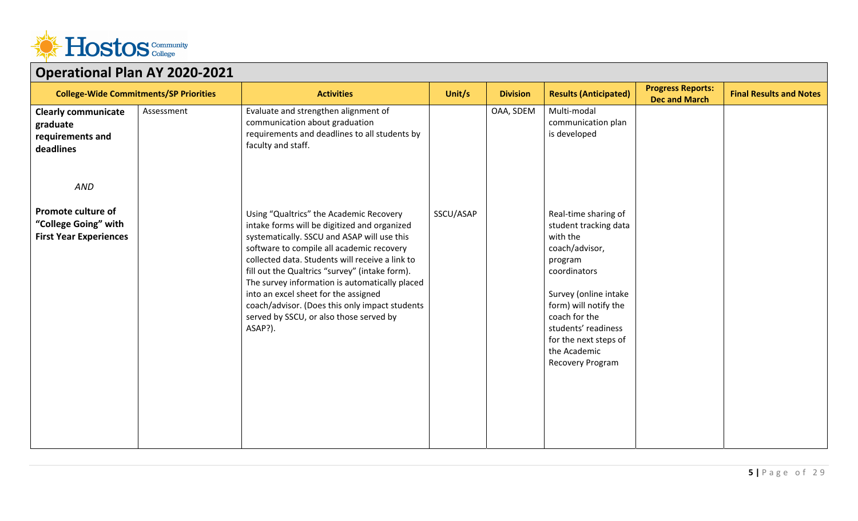

| OPCIULIONUI I IUII AI LULU LULI                                             |            |                                                                                                                                                                                                                                                                                                                                                                                                                                                                                            |           |                 |                                                                                                                                                                                                                                                               |                                                  |                                |
|-----------------------------------------------------------------------------|------------|--------------------------------------------------------------------------------------------------------------------------------------------------------------------------------------------------------------------------------------------------------------------------------------------------------------------------------------------------------------------------------------------------------------------------------------------------------------------------------------------|-----------|-----------------|---------------------------------------------------------------------------------------------------------------------------------------------------------------------------------------------------------------------------------------------------------------|--------------------------------------------------|--------------------------------|
| <b>College-Wide Commitments/SP Priorities</b>                               |            | <b>Activities</b>                                                                                                                                                                                                                                                                                                                                                                                                                                                                          | Unit/s    | <b>Division</b> | <b>Results (Anticipated)</b>                                                                                                                                                                                                                                  | <b>Progress Reports:</b><br><b>Dec and March</b> | <b>Final Results and Notes</b> |
| <b>Clearly communicate</b><br>graduate<br>requirements and<br>deadlines     | Assessment | Evaluate and strengthen alignment of<br>communication about graduation<br>requirements and deadlines to all students by<br>faculty and staff.                                                                                                                                                                                                                                                                                                                                              |           | OAA, SDEM       | Multi-modal<br>communication plan<br>is developed                                                                                                                                                                                                             |                                                  |                                |
| AND                                                                         |            |                                                                                                                                                                                                                                                                                                                                                                                                                                                                                            |           |                 |                                                                                                                                                                                                                                                               |                                                  |                                |
| Promote culture of<br>"College Going" with<br><b>First Year Experiences</b> |            | Using "Qualtrics" the Academic Recovery<br>intake forms will be digitized and organized<br>systematically. SSCU and ASAP will use this<br>software to compile all academic recovery<br>collected data. Students will receive a link to<br>fill out the Qualtrics "survey" (intake form).<br>The survey information is automatically placed<br>into an excel sheet for the assigned<br>coach/advisor. (Does this only impact students<br>served by SSCU, or also those served by<br>ASAP?). | SSCU/ASAP |                 | Real-time sharing of<br>student tracking data<br>with the<br>coach/advisor,<br>program<br>coordinators<br>Survey (online intake<br>form) will notify the<br>coach for the<br>students' readiness<br>for the next steps of<br>the Academic<br>Recovery Program |                                                  |                                |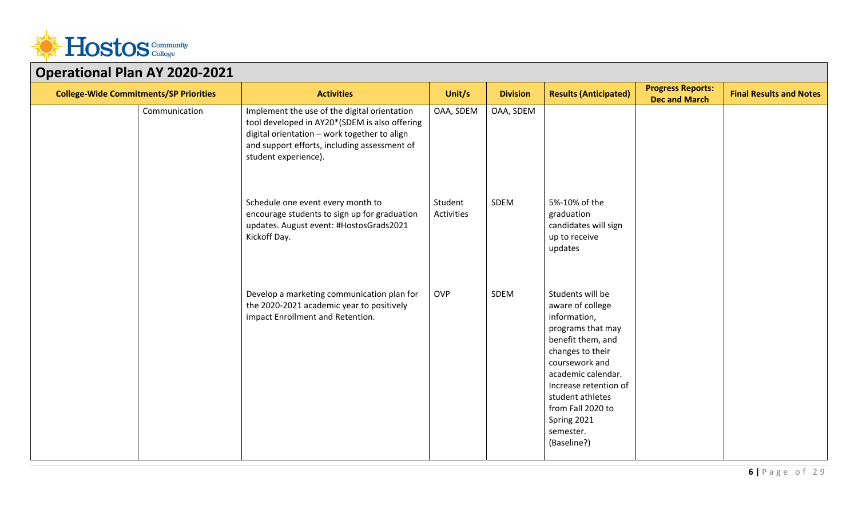

| OPCIULIONUI I IUII AI LOLO LOLI<br><b>College-Wide Commitments/SP Priorities</b> | <b>Activities</b>                                                                                                                                                                                                     | Unit/s                | <b>Division</b> | <b>Results (Anticipated)</b>                                                                                                                                                                                                                                            | <b>Progress Reports:</b> | <b>Final Results and Notes</b> |
|----------------------------------------------------------------------------------|-----------------------------------------------------------------------------------------------------------------------------------------------------------------------------------------------------------------------|-----------------------|-----------------|-------------------------------------------------------------------------------------------------------------------------------------------------------------------------------------------------------------------------------------------------------------------------|--------------------------|--------------------------------|
| Communication                                                                    | Implement the use of the digital orientation<br>tool developed in AY20*(SDEM is also offering<br>digital orientation - work together to align<br>and support efforts, including assessment of<br>student experience). | OAA, SDEM             | OAA, SDEM       |                                                                                                                                                                                                                                                                         | <b>Dec and March</b>     |                                |
|                                                                                  | Schedule one event every month to<br>encourage students to sign up for graduation<br>updates. August event: #HostosGrads2021<br>Kickoff Day.                                                                          | Student<br>Activities | SDEM            | 5%-10% of the<br>graduation<br>candidates will sign<br>up to receive<br>updates                                                                                                                                                                                         |                          |                                |
|                                                                                  | Develop a marketing communication plan for<br>the 2020-2021 academic year to positively<br>impact Enrollment and Retention.                                                                                           | <b>OVP</b>            | SDEM            | Students will be<br>aware of college<br>information,<br>programs that may<br>benefit them, and<br>changes to their<br>coursework and<br>academic calendar.<br>Increase retention of<br>student athletes<br>from Fall 2020 to<br>Spring 2021<br>semester.<br>(Baseline?) |                          |                                |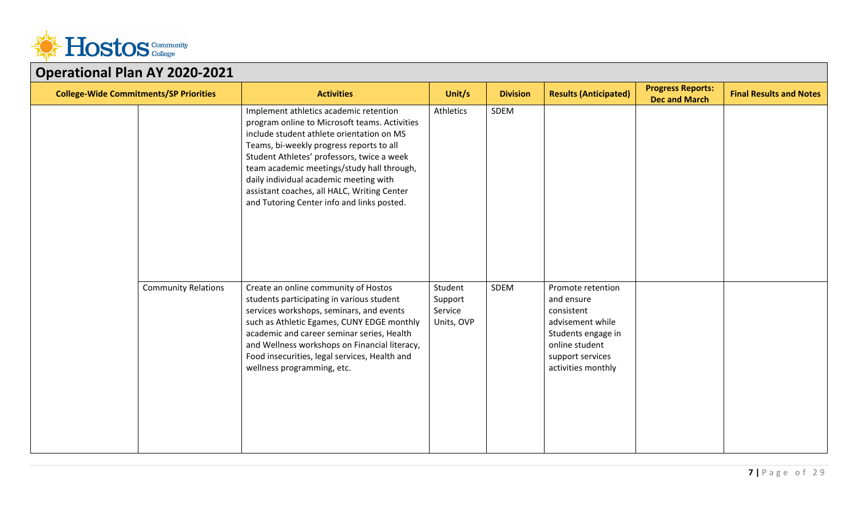

| PPC: 8001101 1 1011 / 11 2020 2               |                            |                                                                                                                                                                                                                                                                                                                                                                                                                     |                                             |                 |                                                                                                                                                     |                                                  |                                |
|-----------------------------------------------|----------------------------|---------------------------------------------------------------------------------------------------------------------------------------------------------------------------------------------------------------------------------------------------------------------------------------------------------------------------------------------------------------------------------------------------------------------|---------------------------------------------|-----------------|-----------------------------------------------------------------------------------------------------------------------------------------------------|--------------------------------------------------|--------------------------------|
| <b>College-Wide Commitments/SP Priorities</b> |                            | <b>Activities</b>                                                                                                                                                                                                                                                                                                                                                                                                   | Unit/s                                      | <b>Division</b> | <b>Results (Anticipated)</b>                                                                                                                        | <b>Progress Reports:</b><br><b>Dec and March</b> | <b>Final Results and Notes</b> |
|                                               |                            | Implement athletics academic retention<br>program online to Microsoft teams. Activities<br>include student athlete orientation on MS<br>Teams, bi-weekly progress reports to all<br>Student Athletes' professors, twice a week<br>team academic meetings/study hall through,<br>daily individual academic meeting with<br>assistant coaches, all HALC, Writing Center<br>and Tutoring Center info and links posted. | Athletics                                   | SDEM            |                                                                                                                                                     |                                                  |                                |
|                                               | <b>Community Relations</b> | Create an online community of Hostos<br>students participating in various student<br>services workshops, seminars, and events<br>such as Athletic Egames, CUNY EDGE monthly<br>academic and career seminar series, Health<br>and Wellness workshops on Financial literacy,<br>Food insecurities, legal services, Health and<br>wellness programming, etc.                                                           | Student<br>Support<br>Service<br>Units, OVP | SDEM            | Promote retention<br>and ensure<br>consistent<br>advisement while<br>Students engage in<br>online student<br>support services<br>activities monthly |                                                  |                                |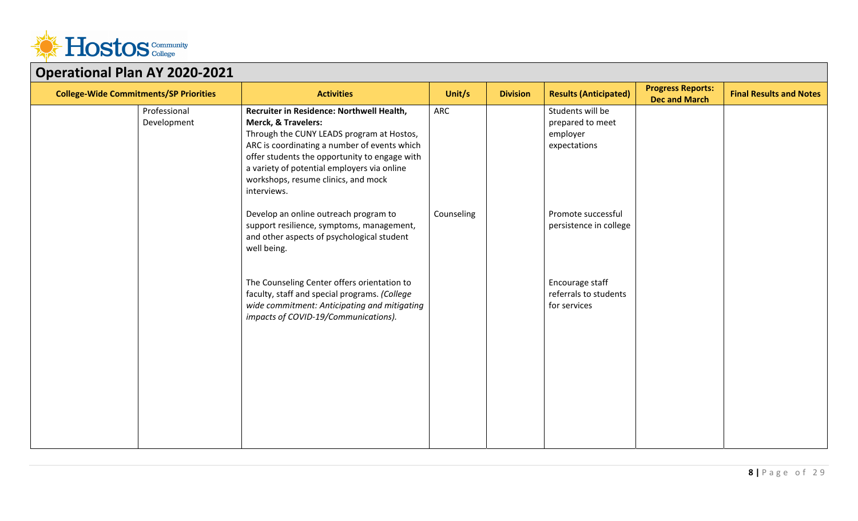

| PPC. GW. DIG: 1 TON 7 W. 2020                 |                             |                                                                                                                                                                                                                                                                                                                                |            |                 |                                                                  |                                                  |                                |
|-----------------------------------------------|-----------------------------|--------------------------------------------------------------------------------------------------------------------------------------------------------------------------------------------------------------------------------------------------------------------------------------------------------------------------------|------------|-----------------|------------------------------------------------------------------|--------------------------------------------------|--------------------------------|
| <b>College-Wide Commitments/SP Priorities</b> |                             | <b>Activities</b>                                                                                                                                                                                                                                                                                                              | Unit/s     | <b>Division</b> | <b>Results (Anticipated)</b>                                     | <b>Progress Reports:</b><br><b>Dec and March</b> | <b>Final Results and Notes</b> |
|                                               | Professional<br>Development | Recruiter in Residence: Northwell Health,<br><b>Merck, &amp; Travelers:</b><br>Through the CUNY LEADS program at Hostos,<br>ARC is coordinating a number of events which<br>offer students the opportunity to engage with<br>a variety of potential employers via online<br>workshops, resume clinics, and mock<br>interviews. | ARC        |                 | Students will be<br>prepared to meet<br>employer<br>expectations |                                                  |                                |
|                                               |                             | Develop an online outreach program to<br>support resilience, symptoms, management,<br>and other aspects of psychological student<br>well being.                                                                                                                                                                                | Counseling |                 | Promote successful<br>persistence in college                     |                                                  |                                |
|                                               |                             | The Counseling Center offers orientation to<br>faculty, staff and special programs. (College<br>wide commitment: Anticipating and mitigating<br>impacts of COVID-19/Communications).                                                                                                                                           |            |                 | Encourage staff<br>referrals to students<br>for services         |                                                  |                                |
|                                               |                             |                                                                                                                                                                                                                                                                                                                                |            |                 |                                                                  |                                                  |                                |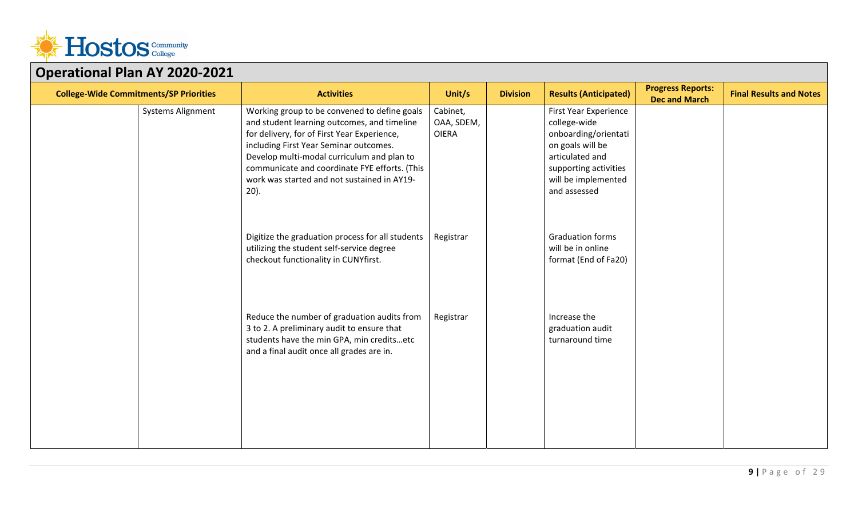

| MAINTER IMITTIT                               |                                                                                                                                                                                                                                                                                                                                               |                                        |                 |                                                                                                                                                                             |                                                  |                                |
|-----------------------------------------------|-----------------------------------------------------------------------------------------------------------------------------------------------------------------------------------------------------------------------------------------------------------------------------------------------------------------------------------------------|----------------------------------------|-----------------|-----------------------------------------------------------------------------------------------------------------------------------------------------------------------------|--------------------------------------------------|--------------------------------|
| <b>College-Wide Commitments/SP Priorities</b> | <b>Activities</b>                                                                                                                                                                                                                                                                                                                             | Unit/s                                 | <b>Division</b> | <b>Results (Anticipated)</b>                                                                                                                                                | <b>Progress Reports:</b><br><b>Dec and March</b> | <b>Final Results and Notes</b> |
| <b>Systems Alignment</b>                      | Working group to be convened to define goals<br>and student learning outcomes, and timeline<br>for delivery, for of First Year Experience,<br>including First Year Seminar outcomes.<br>Develop multi-modal curriculum and plan to<br>communicate and coordinate FYE efforts. (This<br>work was started and not sustained in AY19-<br>$20$ ). | Cabinet,<br>OAA, SDEM,<br><b>OIERA</b> |                 | <b>First Year Experience</b><br>college-wide<br>onboarding/orientati<br>on goals will be<br>articulated and<br>supporting activities<br>will be implemented<br>and assessed |                                                  |                                |
|                                               | Digitize the graduation process for all students<br>utilizing the student self-service degree<br>checkout functionality in CUNYfirst.                                                                                                                                                                                                         | Registrar                              |                 | <b>Graduation forms</b><br>will be in online<br>format (End of Fa20)                                                                                                        |                                                  |                                |
|                                               | Reduce the number of graduation audits from<br>3 to 2. A preliminary audit to ensure that<br>students have the min GPA, min creditsetc<br>and a final audit once all grades are in.                                                                                                                                                           | Registrar                              |                 | Increase the<br>graduation audit<br>turnaround time                                                                                                                         |                                                  |                                |
|                                               |                                                                                                                                                                                                                                                                                                                                               |                                        |                 |                                                                                                                                                                             |                                                  |                                |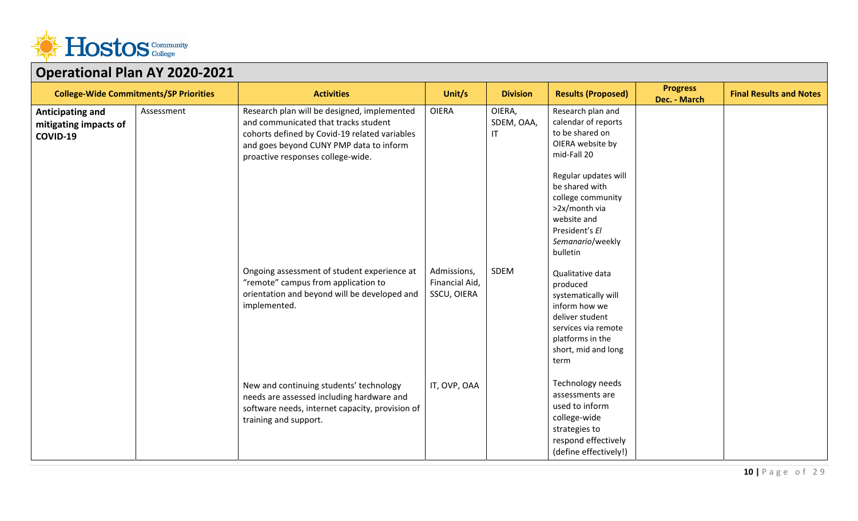

| $P1$ and $P2$ and $P3$ and $P4$ and $P5$ and $P6$<br><b>College-Wide Commitments/SP Priorities</b> |            | <b>Activities</b>                                                                                                                                                                                                    | Unit/s                                       | <b>Division</b>            | <b>Results (Proposed)</b>                                                                                                                                                                                                                       | <b>Progress</b><br>Dec. - March | <b>Final Results and Notes</b> |
|----------------------------------------------------------------------------------------------------|------------|----------------------------------------------------------------------------------------------------------------------------------------------------------------------------------------------------------------------|----------------------------------------------|----------------------------|-------------------------------------------------------------------------------------------------------------------------------------------------------------------------------------------------------------------------------------------------|---------------------------------|--------------------------------|
| Anticipating and<br>mitigating impacts of<br>COVID-19                                              | Assessment | Research plan will be designed, implemented<br>and communicated that tracks student<br>cohorts defined by Covid-19 related variables<br>and goes beyond CUNY PMP data to inform<br>proactive responses college-wide. | <b>OIERA</b>                                 | OIERA,<br>SDEM, OAA,<br>IT | Research plan and<br>calendar of reports<br>to be shared on<br>OIERA website by<br>mid-Fall 20<br>Regular updates will<br>be shared with<br>college community<br>>2x/month via<br>website and<br>President's El<br>Semanario/weekly<br>bulletin |                                 |                                |
|                                                                                                    |            | Ongoing assessment of student experience at<br>"remote" campus from application to<br>orientation and beyond will be developed and<br>implemented.                                                                   | Admissions,<br>Financial Aid,<br>SSCU, OIERA | SDEM                       | Qualitative data<br>produced<br>systematically will<br>inform how we<br>deliver student<br>services via remote<br>platforms in the<br>short, mid and long<br>term                                                                               |                                 |                                |
|                                                                                                    |            | New and continuing students' technology<br>needs are assessed including hardware and<br>software needs, internet capacity, provision of<br>training and support.                                                     | IT, OVP, OAA                                 |                            | Technology needs<br>assessments are<br>used to inform<br>college-wide<br>strategies to<br>respond effectively<br>(define effectively!)                                                                                                          |                                 |                                |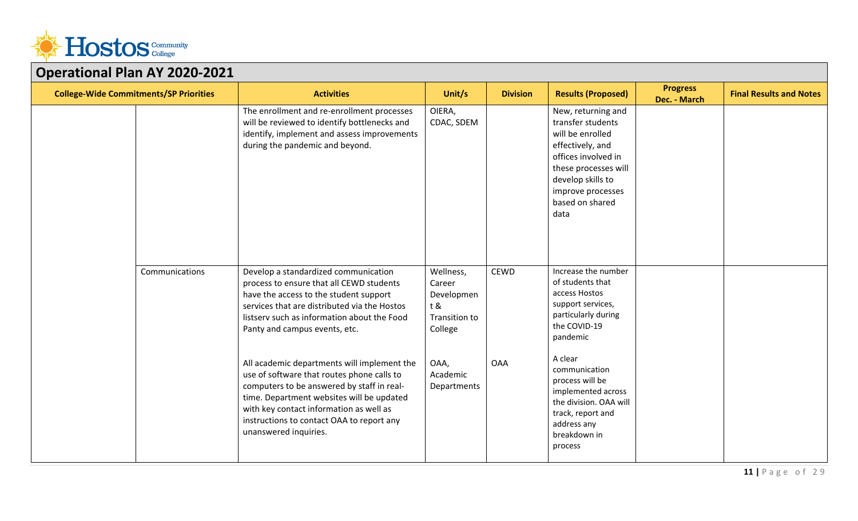

| <b>College-Wide Commitments/SP Priorities</b> |                | <b>Activities</b>                                                                                                                                                                                                                                                                                     | Unit/s                                                                      | <b>Division</b> | <b>Results (Proposed)</b>                                                                                                                                                                           | <b>Progress</b><br>Dec. - March | <b>Final Results and Notes</b> |
|-----------------------------------------------|----------------|-------------------------------------------------------------------------------------------------------------------------------------------------------------------------------------------------------------------------------------------------------------------------------------------------------|-----------------------------------------------------------------------------|-----------------|-----------------------------------------------------------------------------------------------------------------------------------------------------------------------------------------------------|---------------------------------|--------------------------------|
|                                               |                | The enrollment and re-enrollment processes<br>will be reviewed to identify bottlenecks and<br>identify, implement and assess improvements<br>during the pandemic and beyond.                                                                                                                          | OIERA,<br>CDAC, SDEM                                                        |                 | New, returning and<br>transfer students<br>will be enrolled<br>effectively, and<br>offices involved in<br>these processes will<br>develop skills to<br>improve processes<br>based on shared<br>data |                                 |                                |
|                                               | Communications | Develop a standardized communication<br>process to ensure that all CEWD students<br>have the access to the student support<br>services that are distributed via the Hostos<br>listserv such as information about the Food<br>Panty and campus events, etc.                                            | Wellness,<br>Career<br>Developmen<br>t &<br><b>Transition to</b><br>College | <b>CEWD</b>     | Increase the number<br>of students that<br>access Hostos<br>support services,<br>particularly during<br>the COVID-19<br>pandemic                                                                    |                                 |                                |
|                                               |                | All academic departments will implement the<br>use of software that routes phone calls to<br>computers to be answered by staff in real-<br>time. Department websites will be updated<br>with key contact information as well as<br>instructions to contact OAA to report any<br>unanswered inquiries. | OAA,<br>Academic<br>Departments                                             | <b>OAA</b>      | A clear<br>communication<br>process will be<br>implemented across<br>the division. OAA will<br>track, report and<br>address any<br>breakdown in<br>process                                          |                                 |                                |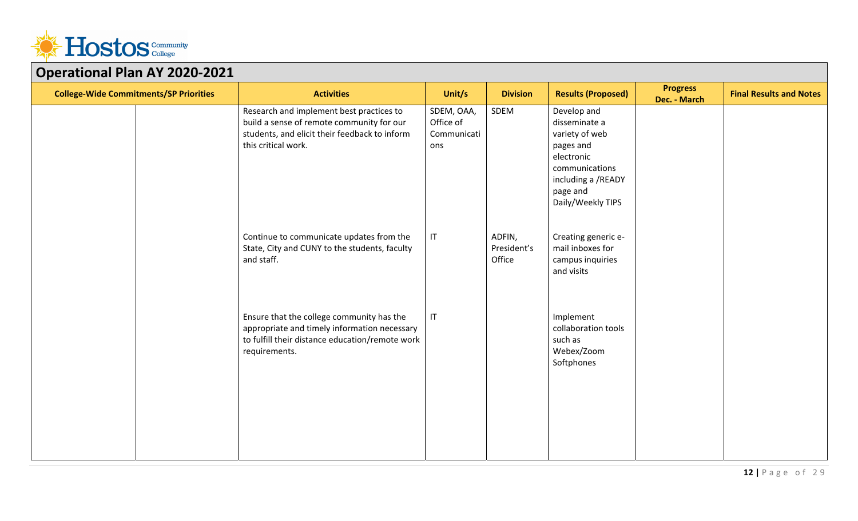

| Permeionar Franzie<br><b>College-Wide Commitments/SP Priorities</b> | <b>Activities</b>                                                                                                                                             | Unit/s                                        | <b>Division</b>                 | <b>Results (Proposed)</b>                                                                                                                          | <b>Progress</b><br>Dec. - March | <b>Final Results and Notes</b> |
|---------------------------------------------------------------------|---------------------------------------------------------------------------------------------------------------------------------------------------------------|-----------------------------------------------|---------------------------------|----------------------------------------------------------------------------------------------------------------------------------------------------|---------------------------------|--------------------------------|
|                                                                     | Research and implement best practices to<br>build a sense of remote community for our<br>students, and elicit their feedback to inform<br>this critical work. | SDEM, OAA,<br>Office of<br>Communicati<br>ons | SDEM                            | Develop and<br>disseminate a<br>variety of web<br>pages and<br>electronic<br>communications<br>including a /READY<br>page and<br>Daily/Weekly TIPS |                                 |                                |
|                                                                     | Continue to communicate updates from the<br>State, City and CUNY to the students, faculty<br>and staff.                                                       | IT                                            | ADFIN,<br>President's<br>Office | Creating generic e-<br>mail inboxes for<br>campus inquiries<br>and visits                                                                          |                                 |                                |
|                                                                     | Ensure that the college community has the<br>appropriate and timely information necessary<br>to fulfill their distance education/remote work<br>requirements. | IT                                            |                                 | Implement<br>collaboration tools<br>such as<br>Webex/Zoom<br>Softphones                                                                            |                                 |                                |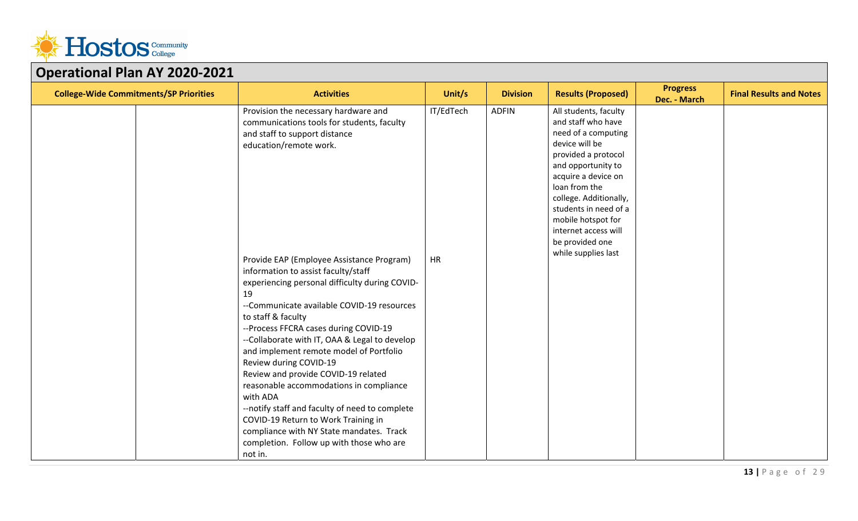

| <b>College-Wide Commitments/SP Priorities</b> | <b>Activities</b>                                                                                                                                                                                                                                                                                                                                                                                                                                                                                                                                                                                                                                                                                                                                                                                                      | Unit/s                 | <b>Division</b> | <b>Results (Proposed)</b>                                                                                                                                                                                                                                                                                            | <b>Progress</b><br>Dec. - March | <b>Final Results and Notes</b> |
|-----------------------------------------------|------------------------------------------------------------------------------------------------------------------------------------------------------------------------------------------------------------------------------------------------------------------------------------------------------------------------------------------------------------------------------------------------------------------------------------------------------------------------------------------------------------------------------------------------------------------------------------------------------------------------------------------------------------------------------------------------------------------------------------------------------------------------------------------------------------------------|------------------------|-----------------|----------------------------------------------------------------------------------------------------------------------------------------------------------------------------------------------------------------------------------------------------------------------------------------------------------------------|---------------------------------|--------------------------------|
|                                               | Provision the necessary hardware and<br>communications tools for students, faculty<br>and staff to support distance<br>education/remote work.<br>Provide EAP (Employee Assistance Program)<br>information to assist faculty/staff<br>experiencing personal difficulty during COVID-<br>19<br>--Communicate available COVID-19 resources<br>to staff & faculty<br>--Process FFCRA cases during COVID-19<br>--Collaborate with IT, OAA & Legal to develop<br>and implement remote model of Portfolio<br>Review during COVID-19<br>Review and provide COVID-19 related<br>reasonable accommodations in compliance<br>with ADA<br>--notify staff and faculty of need to complete<br>COVID-19 Return to Work Training in<br>compliance with NY State mandates. Track<br>completion. Follow up with those who are<br>not in. | IT/EdTech<br><b>HR</b> | <b>ADFIN</b>    | All students, faculty<br>and staff who have<br>need of a computing<br>device will be<br>provided a protocol<br>and opportunity to<br>acquire a device on<br>loan from the<br>college. Additionally,<br>students in need of a<br>mobile hotspot for<br>internet access will<br>be provided one<br>while supplies last |                                 |                                |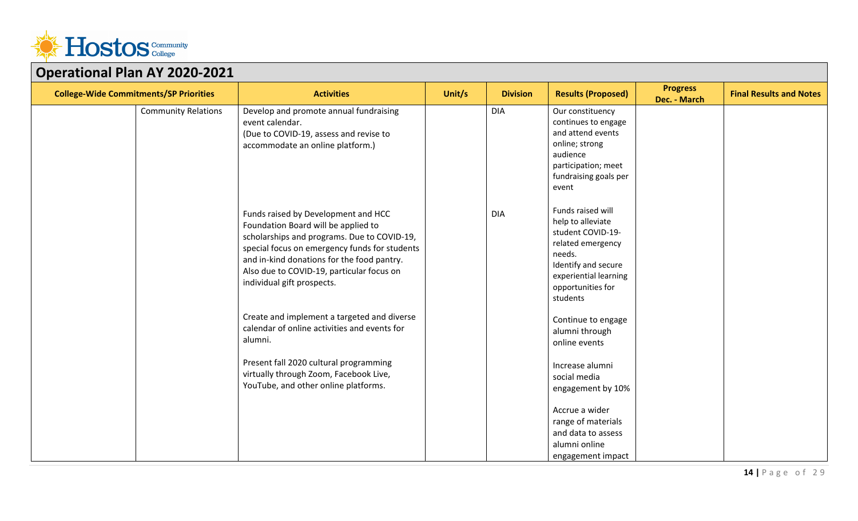

| <b>College-Wide Commitments/SP Priorities</b> | <b>Activities</b>                                                                                                                                                                                                                                                                                   | Unit/s | <b>Division</b> | <b>Results (Proposed)</b>                                                                                                                                                   | <b>Progress</b><br>Dec. - March | <b>Final Results and Notes</b> |  |  |
|-----------------------------------------------|-----------------------------------------------------------------------------------------------------------------------------------------------------------------------------------------------------------------------------------------------------------------------------------------------------|--------|-----------------|-----------------------------------------------------------------------------------------------------------------------------------------------------------------------------|---------------------------------|--------------------------------|--|--|
| <b>Community Relations</b>                    | Develop and promote annual fundraising<br>event calendar.<br>(Due to COVID-19, assess and revise to<br>accommodate an online platform.)                                                                                                                                                             |        | <b>DIA</b>      | Our constituency<br>continues to engage<br>and attend events<br>online; strong<br>audience<br>participation; meet<br>fundraising goals per<br>event                         |                                 |                                |  |  |
|                                               | Funds raised by Development and HCC<br>Foundation Board will be applied to<br>scholarships and programs. Due to COVID-19,<br>special focus on emergency funds for students<br>and in-kind donations for the food pantry.<br>Also due to COVID-19, particular focus on<br>individual gift prospects. |        | <b>DIA</b>      | Funds raised will<br>help to alleviate<br>student COVID-19-<br>related emergency<br>needs.<br>Identify and secure<br>experiential learning<br>opportunities for<br>students |                                 |                                |  |  |
|                                               | Create and implement a targeted and diverse<br>calendar of online activities and events for<br>alumni.                                                                                                                                                                                              |        |                 | Continue to engage<br>alumni through<br>online events                                                                                                                       |                                 |                                |  |  |
|                                               | Present fall 2020 cultural programming<br>virtually through Zoom, Facebook Live,<br>YouTube, and other online platforms.                                                                                                                                                                            |        |                 | Increase alumni<br>social media<br>engagement by 10%                                                                                                                        |                                 |                                |  |  |
|                                               |                                                                                                                                                                                                                                                                                                     |        |                 | Accrue a wider<br>range of materials<br>and data to assess<br>alumni online<br>engagement impact                                                                            |                                 |                                |  |  |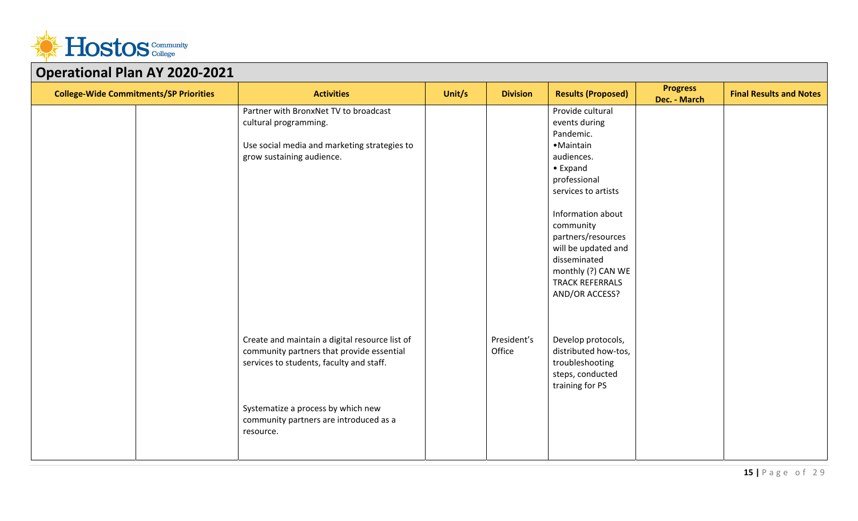

| Operational Fight AT 2020-2021                |                                                |        |                 |                           |                                 |                                |  |  |  |
|-----------------------------------------------|------------------------------------------------|--------|-----------------|---------------------------|---------------------------------|--------------------------------|--|--|--|
| <b>College-Wide Commitments/SP Priorities</b> | <b>Activities</b>                              | Unit/s | <b>Division</b> | <b>Results (Proposed)</b> | <b>Progress</b><br>Dec. - March | <b>Final Results and Notes</b> |  |  |  |
|                                               | Partner with BronxNet TV to broadcast          |        |                 | Provide cultural          |                                 |                                |  |  |  |
|                                               | cultural programming.                          |        |                 | events during             |                                 |                                |  |  |  |
|                                               |                                                |        |                 | Pandemic.                 |                                 |                                |  |  |  |
|                                               | Use social media and marketing strategies to   |        |                 | • Maintain                |                                 |                                |  |  |  |
|                                               | grow sustaining audience.                      |        |                 | audiences.                |                                 |                                |  |  |  |
|                                               |                                                |        |                 | $\bullet$ Expand          |                                 |                                |  |  |  |
|                                               |                                                |        |                 | professional              |                                 |                                |  |  |  |
|                                               |                                                |        |                 | services to artists       |                                 |                                |  |  |  |
|                                               |                                                |        |                 |                           |                                 |                                |  |  |  |
|                                               |                                                |        |                 | Information about         |                                 |                                |  |  |  |
|                                               |                                                |        |                 | community                 |                                 |                                |  |  |  |
|                                               |                                                |        |                 | partners/resources        |                                 |                                |  |  |  |
|                                               |                                                |        |                 | will be updated and       |                                 |                                |  |  |  |
|                                               |                                                |        |                 | disseminated              |                                 |                                |  |  |  |
|                                               |                                                |        |                 | monthly (?) CAN WE        |                                 |                                |  |  |  |
|                                               |                                                |        |                 | <b>TRACK REFERRALS</b>    |                                 |                                |  |  |  |
|                                               |                                                |        |                 | AND/OR ACCESS?            |                                 |                                |  |  |  |
|                                               |                                                |        |                 |                           |                                 |                                |  |  |  |
|                                               |                                                |        |                 |                           |                                 |                                |  |  |  |
|                                               |                                                |        |                 |                           |                                 |                                |  |  |  |
|                                               | Create and maintain a digital resource list of |        | President's     | Develop protocols,        |                                 |                                |  |  |  |
|                                               | community partners that provide essential      |        | Office          | distributed how-tos,      |                                 |                                |  |  |  |
|                                               | services to students, faculty and staff.       |        |                 | troubleshooting           |                                 |                                |  |  |  |
|                                               |                                                |        |                 | steps, conducted          |                                 |                                |  |  |  |
|                                               |                                                |        |                 | training for PS           |                                 |                                |  |  |  |
|                                               |                                                |        |                 |                           |                                 |                                |  |  |  |
|                                               | Systematize a process by which new             |        |                 |                           |                                 |                                |  |  |  |
|                                               | community partners are introduced as a         |        |                 |                           |                                 |                                |  |  |  |
|                                               | resource.                                      |        |                 |                           |                                 |                                |  |  |  |
|                                               |                                                |        |                 |                           |                                 |                                |  |  |  |
|                                               |                                                |        |                 |                           |                                 |                                |  |  |  |
|                                               |                                                |        |                 |                           |                                 |                                |  |  |  |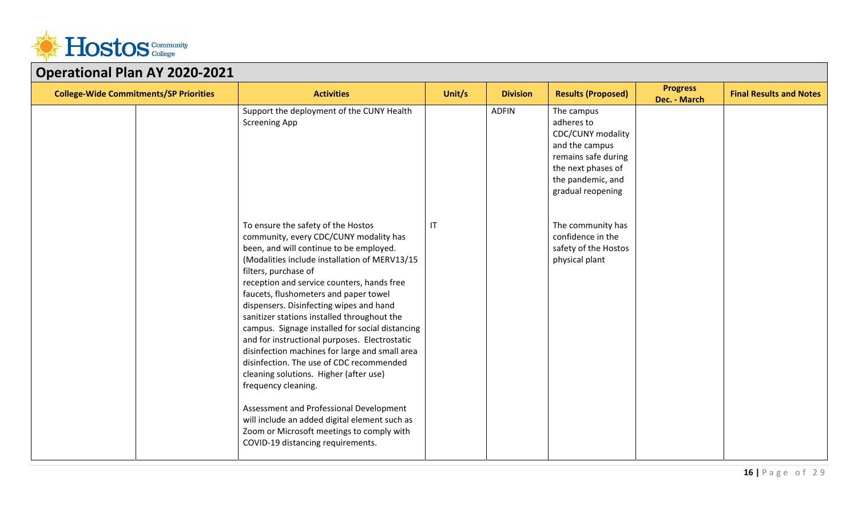

| OPCTUGIONUI TUITAT LULU LULL<br><b>College-Wide Commitments/SP Priorities</b> | <b>Activities</b>                                                                                                                                                                                                                                                                                                                                                                                                                                                                                                                                                                                                                                                                                                                                                                                                                  | Unit/s                 | <b>Division</b> | <b>Results (Proposed)</b>                                                                                                                              | <b>Progress</b><br>Dec. - March | <b>Final Results and Notes</b> |
|-------------------------------------------------------------------------------|------------------------------------------------------------------------------------------------------------------------------------------------------------------------------------------------------------------------------------------------------------------------------------------------------------------------------------------------------------------------------------------------------------------------------------------------------------------------------------------------------------------------------------------------------------------------------------------------------------------------------------------------------------------------------------------------------------------------------------------------------------------------------------------------------------------------------------|------------------------|-----------------|--------------------------------------------------------------------------------------------------------------------------------------------------------|---------------------------------|--------------------------------|
|                                                                               | Support the deployment of the CUNY Health<br><b>Screening App</b>                                                                                                                                                                                                                                                                                                                                                                                                                                                                                                                                                                                                                                                                                                                                                                  |                        | <b>ADFIN</b>    | The campus<br>adheres to<br>CDC/CUNY modality<br>and the campus<br>remains safe during<br>the next phases of<br>the pandemic, and<br>gradual reopening |                                 |                                |
|                                                                               | To ensure the safety of the Hostos<br>community, every CDC/CUNY modality has<br>been, and will continue to be employed.<br>(Modalities include installation of MERV13/15<br>filters, purchase of<br>reception and service counters, hands free<br>faucets, flushometers and paper towel<br>dispensers. Disinfecting wipes and hand<br>sanitizer stations installed throughout the<br>campus. Signage installed for social distancing<br>and for instructional purposes. Electrostatic<br>disinfection machines for large and small area<br>disinfection. The use of CDC recommended<br>cleaning solutions. Higher (after use)<br>frequency cleaning.<br>Assessment and Professional Development<br>will include an added digital element such as<br>Zoom or Microsoft meetings to comply with<br>COVID-19 distancing requirements. | $\mathsf{I}\mathsf{T}$ |                 | The community has<br>confidence in the<br>safety of the Hostos<br>physical plant                                                                       |                                 |                                |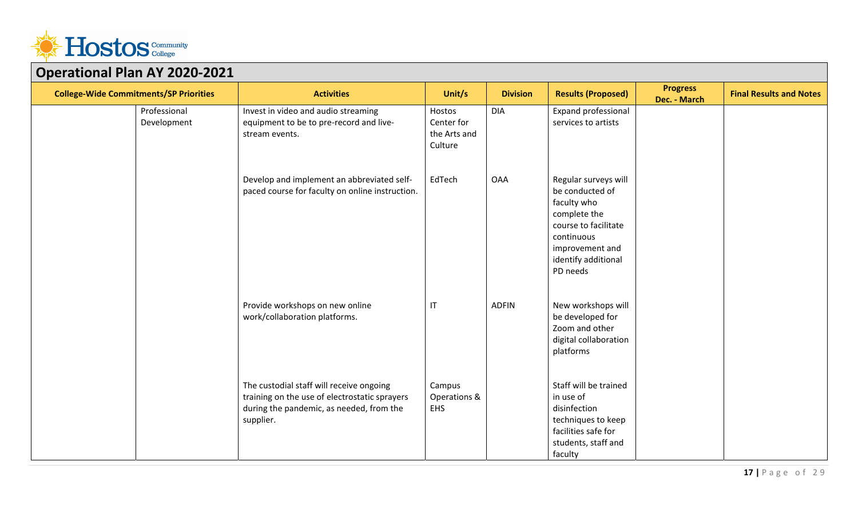

| OPCTUMONUT TUH AT 2020 2021                   |                             |                                                                                                                                                    |                                                 |                 |                                                                                                                                                                    |                                 |                                |
|-----------------------------------------------|-----------------------------|----------------------------------------------------------------------------------------------------------------------------------------------------|-------------------------------------------------|-----------------|--------------------------------------------------------------------------------------------------------------------------------------------------------------------|---------------------------------|--------------------------------|
| <b>College-Wide Commitments/SP Priorities</b> |                             | <b>Activities</b>                                                                                                                                  | Unit/s                                          | <b>Division</b> | <b>Results (Proposed)</b>                                                                                                                                          | <b>Progress</b><br>Dec. - March | <b>Final Results and Notes</b> |
|                                               | Professional<br>Development | Invest in video and audio streaming<br>equipment to be to pre-record and live-<br>stream events.                                                   | Hostos<br>Center for<br>the Arts and<br>Culture | <b>DIA</b>      | Expand professional<br>services to artists                                                                                                                         |                                 |                                |
|                                               |                             | Develop and implement an abbreviated self-<br>paced course for faculty on online instruction.                                                      | EdTech                                          | <b>OAA</b>      | Regular surveys will<br>be conducted of<br>faculty who<br>complete the<br>course to facilitate<br>continuous<br>improvement and<br>identify additional<br>PD needs |                                 |                                |
|                                               |                             | Provide workshops on new online<br>work/collaboration platforms.                                                                                   | $\mathsf{I}\mathsf{T}$                          | <b>ADFIN</b>    | New workshops will<br>be developed for<br>Zoom and other<br>digital collaboration<br>platforms                                                                     |                                 |                                |
|                                               |                             | The custodial staff will receive ongoing<br>training on the use of electrostatic sprayers<br>during the pandemic, as needed, from the<br>supplier. | Campus<br>Operations &<br><b>EHS</b>            |                 | Staff will be trained<br>in use of<br>disinfection<br>techniques to keep<br>facilities safe for<br>students, staff and<br>faculty                                  |                                 |                                |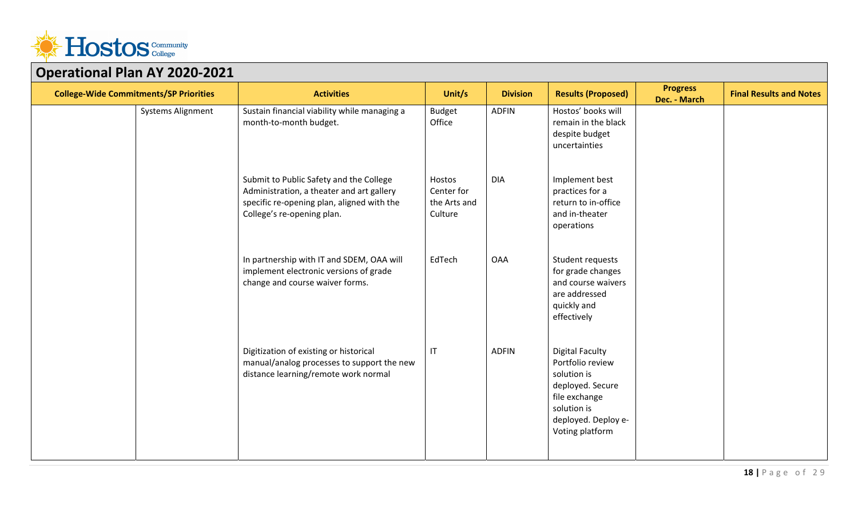

| <b>College-Wide Commitments/SP Priorities</b> | <b>Activities</b>                                                                                                                                                | Unit/s                                          | <b>Division</b> | <b>Results (Proposed)</b>                                                                                                                               | <b>Progress</b><br>Dec. - March | <b>Final Results and Notes</b> |
|-----------------------------------------------|------------------------------------------------------------------------------------------------------------------------------------------------------------------|-------------------------------------------------|-----------------|---------------------------------------------------------------------------------------------------------------------------------------------------------|---------------------------------|--------------------------------|
| Systems Alignment                             | Sustain financial viability while managing a<br>month-to-month budget.                                                                                           | <b>Budget</b><br>Office                         | <b>ADFIN</b>    | Hostos' books will<br>remain in the black<br>despite budget<br>uncertainties                                                                            |                                 |                                |
|                                               | Submit to Public Safety and the College<br>Administration, a theater and art gallery<br>specific re-opening plan, aligned with the<br>College's re-opening plan. | Hostos<br>Center for<br>the Arts and<br>Culture | <b>DIA</b>      | Implement best<br>practices for a<br>return to in-office<br>and in-theater<br>operations                                                                |                                 |                                |
|                                               | In partnership with IT and SDEM, OAA will<br>implement electronic versions of grade<br>change and course waiver forms.                                           | EdTech                                          | <b>OAA</b>      | Student requests<br>for grade changes<br>and course waivers<br>are addressed<br>quickly and<br>effectively                                              |                                 |                                |
|                                               | Digitization of existing or historical<br>manual/analog processes to support the new<br>distance learning/remote work normal                                     | $\mathsf{I}\mathsf{T}$                          | <b>ADFIN</b>    | <b>Digital Faculty</b><br>Portfolio review<br>solution is<br>deployed. Secure<br>file exchange<br>solution is<br>deployed. Deploy e-<br>Voting platform |                                 |                                |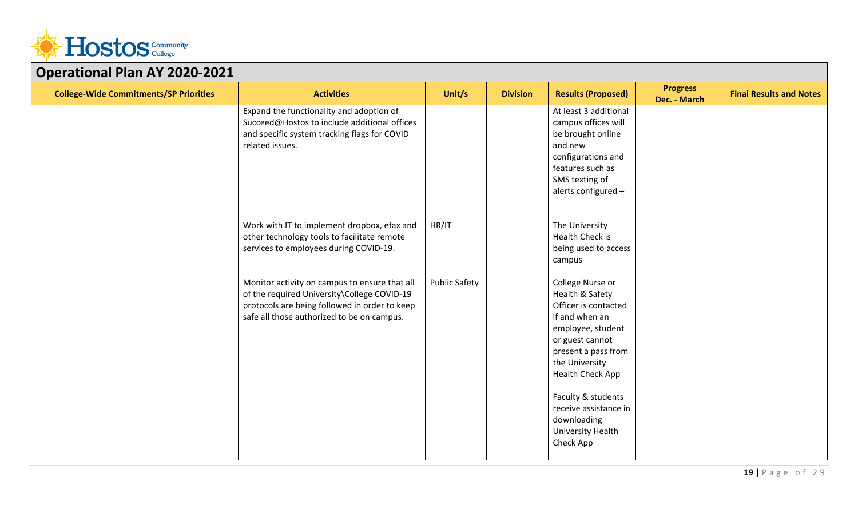

| $\sim$ perustral rights to 2020 20<br><b>College-Wide Commitments/SP Priorities</b> | <b>Activities</b>                                                                                                                                                                           | Unit/s               | <b>Division</b> | <b>Results (Proposed)</b>                                                                                                                                                                                                                                                          | <b>Progress</b><br>Dec. - March | <b>Final Results and Notes</b> |
|-------------------------------------------------------------------------------------|---------------------------------------------------------------------------------------------------------------------------------------------------------------------------------------------|----------------------|-----------------|------------------------------------------------------------------------------------------------------------------------------------------------------------------------------------------------------------------------------------------------------------------------------------|---------------------------------|--------------------------------|
|                                                                                     | Expand the functionality and adoption of<br>Succeed@Hostos to include additional offices<br>and specific system tracking flags for COVID<br>related issues.                                 |                      |                 | At least 3 additional<br>campus offices will<br>be brought online<br>and new<br>configurations and<br>features such as<br>SMS texting of<br>alerts configured -                                                                                                                    |                                 |                                |
|                                                                                     | Work with IT to implement dropbox, efax and<br>other technology tools to facilitate remote<br>services to employees during COVID-19.                                                        | HR/IT                |                 | The University<br>Health Check is<br>being used to access<br>campus                                                                                                                                                                                                                |                                 |                                |
|                                                                                     | Monitor activity on campus to ensure that all<br>of the required University\College COVID-19<br>protocols are being followed in order to keep<br>safe all those authorized to be on campus. | <b>Public Safety</b> |                 | College Nurse or<br>Health & Safety<br>Officer is contacted<br>if and when an<br>employee, student<br>or guest cannot<br>present a pass from<br>the University<br>Health Check App<br>Faculty & students<br>receive assistance in<br>downloading<br>University Health<br>Check App |                                 |                                |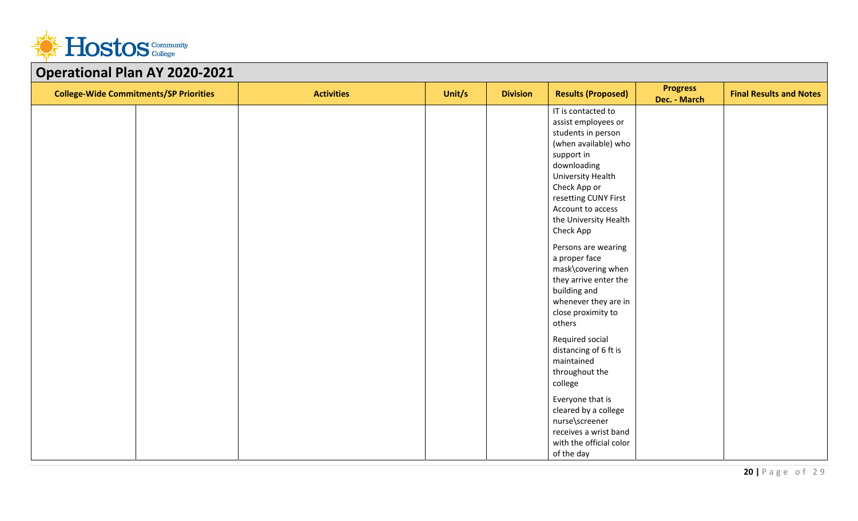

| OPCIUSIONUI TUITAT LOLO LOLI<br><b>College-Wide Commitments/SP Priorities</b> | <b>Activities</b> | Unit/s | <b>Division</b> | <b>Results (Proposed)</b>                                                                                                                                                                                                                                                                                                                           | <b>Progress</b><br>Dec. - March | <b>Final Results and Notes</b> |
|-------------------------------------------------------------------------------|-------------------|--------|-----------------|-----------------------------------------------------------------------------------------------------------------------------------------------------------------------------------------------------------------------------------------------------------------------------------------------------------------------------------------------------|---------------------------------|--------------------------------|
|                                                                               |                   |        |                 | IT is contacted to<br>assist employees or<br>students in person<br>(when available) who<br>support in<br>downloading<br>University Health<br>Check App or<br>resetting CUNY First<br>Account to access<br>the University Health<br>Check App<br>Persons are wearing<br>a proper face<br>mask\covering when<br>they arrive enter the<br>building and |                                 |                                |
|                                                                               |                   |        |                 | whenever they are in<br>close proximity to<br>others<br>Required social<br>distancing of 6 ft is<br>maintained<br>throughout the<br>college<br>Everyone that is<br>cleared by a college<br>nurse\screener<br>receives a wrist band                                                                                                                  |                                 |                                |
|                                                                               |                   |        |                 | with the official color<br>of the day                                                                                                                                                                                                                                                                                                               |                                 |                                |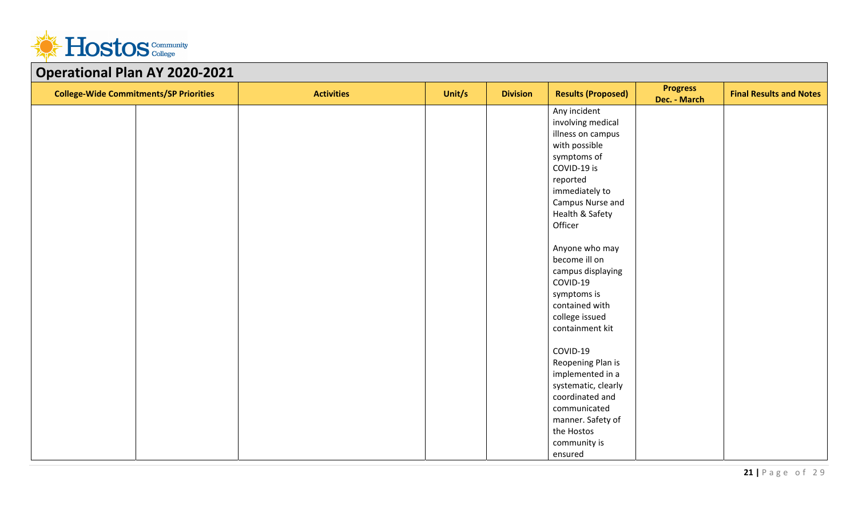

| Operational Flan AT 2020-2021<br><b>College-Wide Commitments/SP Priorities</b> | <b>Activities</b> | Unit/s | <b>Division</b> | <b>Results (Proposed)</b> | <b>Progress</b><br>Dec. - March | <b>Final Results and Notes</b> |
|--------------------------------------------------------------------------------|-------------------|--------|-----------------|---------------------------|---------------------------------|--------------------------------|
|                                                                                |                   |        |                 | Any incident              |                                 |                                |
|                                                                                |                   |        |                 | involving medical         |                                 |                                |
|                                                                                |                   |        |                 | illness on campus         |                                 |                                |
|                                                                                |                   |        |                 | with possible             |                                 |                                |
|                                                                                |                   |        |                 | symptoms of               |                                 |                                |
|                                                                                |                   |        |                 | COVID-19 is               |                                 |                                |
|                                                                                |                   |        |                 | reported                  |                                 |                                |
|                                                                                |                   |        |                 | immediately to            |                                 |                                |
|                                                                                |                   |        |                 | Campus Nurse and          |                                 |                                |
|                                                                                |                   |        |                 | Health & Safety           |                                 |                                |
|                                                                                |                   |        |                 | Officer                   |                                 |                                |
|                                                                                |                   |        |                 | Anyone who may            |                                 |                                |
|                                                                                |                   |        |                 | become ill on             |                                 |                                |
|                                                                                |                   |        |                 | campus displaying         |                                 |                                |
|                                                                                |                   |        |                 | COVID-19                  |                                 |                                |
|                                                                                |                   |        |                 | symptoms is               |                                 |                                |
|                                                                                |                   |        |                 | contained with            |                                 |                                |
|                                                                                |                   |        |                 | college issued            |                                 |                                |
|                                                                                |                   |        |                 | containment kit           |                                 |                                |
|                                                                                |                   |        |                 | COVID-19                  |                                 |                                |
|                                                                                |                   |        |                 | Reopening Plan is         |                                 |                                |
|                                                                                |                   |        |                 | implemented in a          |                                 |                                |
|                                                                                |                   |        |                 | systematic, clearly       |                                 |                                |
|                                                                                |                   |        |                 | coordinated and           |                                 |                                |
|                                                                                |                   |        |                 | communicated              |                                 |                                |
|                                                                                |                   |        |                 | manner. Safety of         |                                 |                                |
|                                                                                |                   |        |                 | the Hostos                |                                 |                                |
|                                                                                |                   |        |                 | community is              |                                 |                                |
|                                                                                |                   |        |                 | ensured                   |                                 |                                |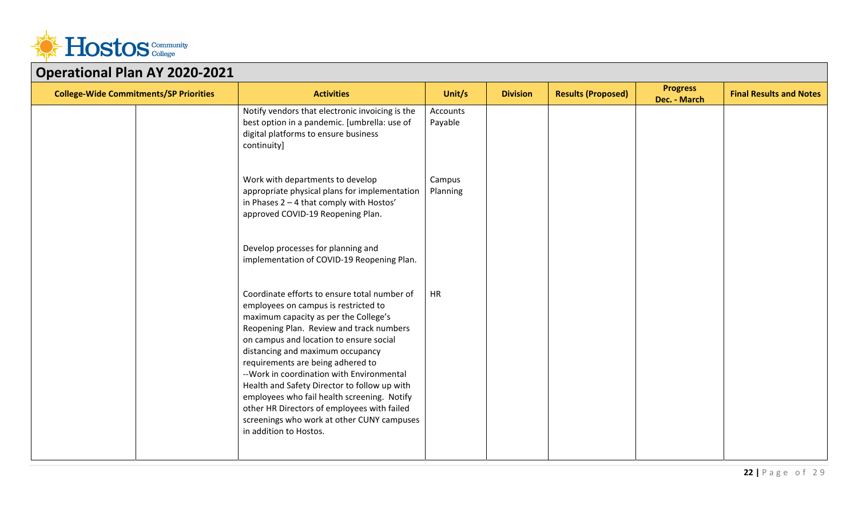

| PPC: 8001181 1 1811 7 11 2020                 |                                                                                                                                                                                                                                                                                                                                                                                                                                                                                                                                                                   |                     |                 |                           |                                 |                                |  |  |  |
|-----------------------------------------------|-------------------------------------------------------------------------------------------------------------------------------------------------------------------------------------------------------------------------------------------------------------------------------------------------------------------------------------------------------------------------------------------------------------------------------------------------------------------------------------------------------------------------------------------------------------------|---------------------|-----------------|---------------------------|---------------------------------|--------------------------------|--|--|--|
| <b>College-Wide Commitments/SP Priorities</b> | <b>Activities</b>                                                                                                                                                                                                                                                                                                                                                                                                                                                                                                                                                 | Unit/s              | <b>Division</b> | <b>Results (Proposed)</b> | <b>Progress</b><br>Dec. - March | <b>Final Results and Notes</b> |  |  |  |
|                                               | Notify vendors that electronic invoicing is the<br>best option in a pandemic. [umbrella: use of<br>digital platforms to ensure business<br>continuity]                                                                                                                                                                                                                                                                                                                                                                                                            | Accounts<br>Payable |                 |                           |                                 |                                |  |  |  |
|                                               | Work with departments to develop<br>appropriate physical plans for implementation<br>in Phases 2 - 4 that comply with Hostos'<br>approved COVID-19 Reopening Plan.                                                                                                                                                                                                                                                                                                                                                                                                | Campus<br>Planning  |                 |                           |                                 |                                |  |  |  |
|                                               | Develop processes for planning and<br>implementation of COVID-19 Reopening Plan.                                                                                                                                                                                                                                                                                                                                                                                                                                                                                  |                     |                 |                           |                                 |                                |  |  |  |
|                                               | Coordinate efforts to ensure total number of<br>employees on campus is restricted to<br>maximum capacity as per the College's<br>Reopening Plan. Review and track numbers<br>on campus and location to ensure social<br>distancing and maximum occupancy<br>requirements are being adhered to<br>-- Work in coordination with Environmental<br>Health and Safety Director to follow up with<br>employees who fail health screening. Notify<br>other HR Directors of employees with failed<br>screenings who work at other CUNY campuses<br>in addition to Hostos. | HR                  |                 |                           |                                 |                                |  |  |  |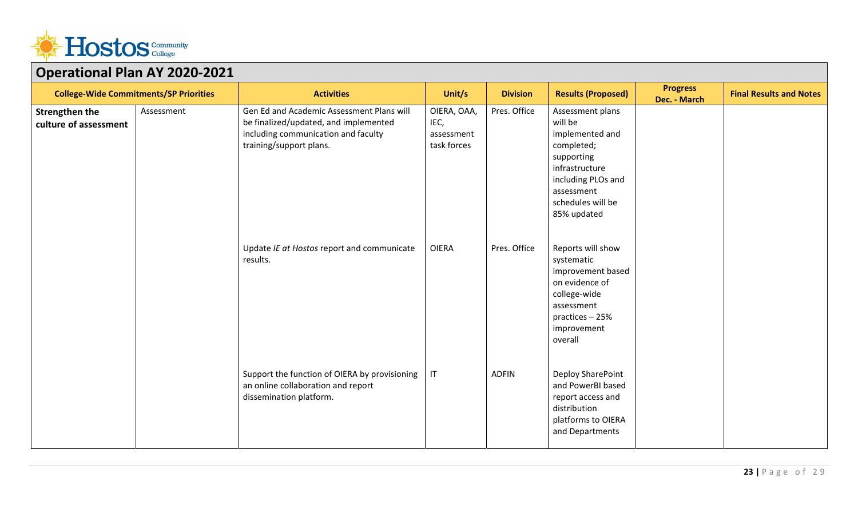

| <u>. Le marie de la compagnecia e este a esp</u> |            |                                                                                                                                                      |                                                  |                 |                                                                                                                                                                      |                                 |                                |
|--------------------------------------------------|------------|------------------------------------------------------------------------------------------------------------------------------------------------------|--------------------------------------------------|-----------------|----------------------------------------------------------------------------------------------------------------------------------------------------------------------|---------------------------------|--------------------------------|
| <b>College-Wide Commitments/SP Priorities</b>    |            | <b>Activities</b>                                                                                                                                    | Unit/s                                           | <b>Division</b> | <b>Results (Proposed)</b>                                                                                                                                            | <b>Progress</b><br>Dec. - March | <b>Final Results and Notes</b> |
| <b>Strengthen the</b><br>culture of assessment   | Assessment | Gen Ed and Academic Assessment Plans will<br>be finalized/updated, and implemented<br>including communication and faculty<br>training/support plans. | OIERA, OAA,<br>IEC,<br>assessment<br>task forces | Pres. Office    | Assessment plans<br>will be<br>implemented and<br>completed;<br>supporting<br>infrastructure<br>including PLOs and<br>assessment<br>schedules will be<br>85% updated |                                 |                                |
|                                                  |            | Update IE at Hostos report and communicate<br>results.                                                                                               | <b>OIERA</b>                                     | Pres. Office    | Reports will show<br>systematic<br>improvement based<br>on evidence of<br>college-wide<br>assessment<br>practices - 25%<br>improvement<br>overall                    |                                 |                                |
|                                                  |            | Support the function of OIERA by provisioning<br>an online collaboration and report<br>dissemination platform.                                       | $\sf IT$                                         | <b>ADFIN</b>    | Deploy SharePoint<br>and PowerBI based<br>report access and<br>distribution<br>platforms to OIERA<br>and Departments                                                 |                                 |                                |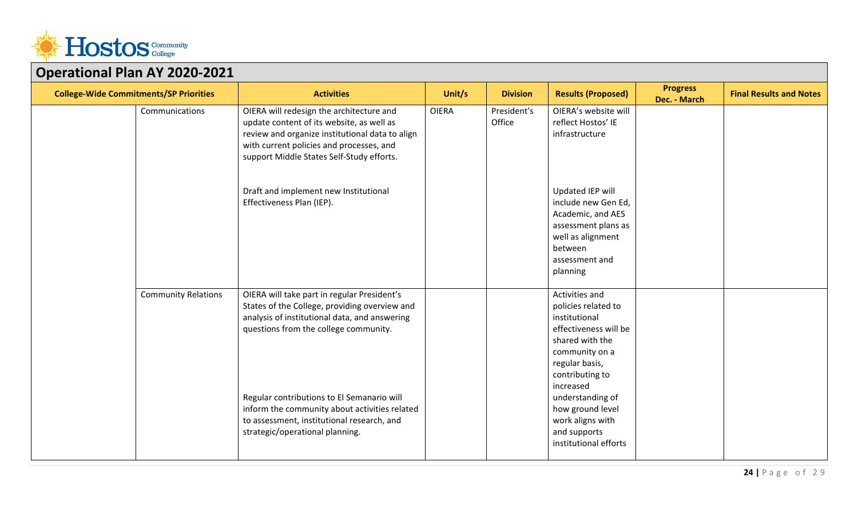

| $\sim$ perustrum rum $\sim$ 1 = 020 $\pm$ 0<br><b>College-Wide Commitments/SP Priorities</b> |                            | <b>Activities</b>                                                                                                                                                                                                                                                                                                                                                      | Unit/s       | <b>Division</b>       | <b>Results (Proposed)</b>                                                                                                                                                                                                                                                   | <b>Progress</b><br>Dec. - March | <b>Final Results and Notes</b> |
|----------------------------------------------------------------------------------------------|----------------------------|------------------------------------------------------------------------------------------------------------------------------------------------------------------------------------------------------------------------------------------------------------------------------------------------------------------------------------------------------------------------|--------------|-----------------------|-----------------------------------------------------------------------------------------------------------------------------------------------------------------------------------------------------------------------------------------------------------------------------|---------------------------------|--------------------------------|
|                                                                                              | Communications             | OIERA will redesign the architecture and<br>update content of its website, as well as<br>review and organize institutional data to align<br>with current policies and processes, and<br>support Middle States Self-Study efforts.                                                                                                                                      | <b>OIERA</b> | President's<br>Office | OIERA's website will<br>reflect Hostos' IE<br>infrastructure                                                                                                                                                                                                                |                                 |                                |
|                                                                                              |                            | Draft and implement new Institutional<br>Effectiveness Plan (IEP).                                                                                                                                                                                                                                                                                                     |              |                       | Updated IEP will<br>include new Gen Ed,<br>Academic, and AES<br>assessment plans as<br>well as alignment<br>between<br>assessment and<br>planning                                                                                                                           |                                 |                                |
|                                                                                              | <b>Community Relations</b> | OIERA will take part in regular President's<br>States of the College, providing overview and<br>analysis of institutional data, and answering<br>questions from the college community.<br>Regular contributions to El Semanario will<br>inform the community about activities related<br>to assessment, institutional research, and<br>strategic/operational planning. |              |                       | Activities and<br>policies related to<br>institutional<br>effectiveness will be<br>shared with the<br>community on a<br>regular basis,<br>contributing to<br>increased<br>understanding of<br>how ground level<br>work aligns with<br>and supports<br>institutional efforts |                                 |                                |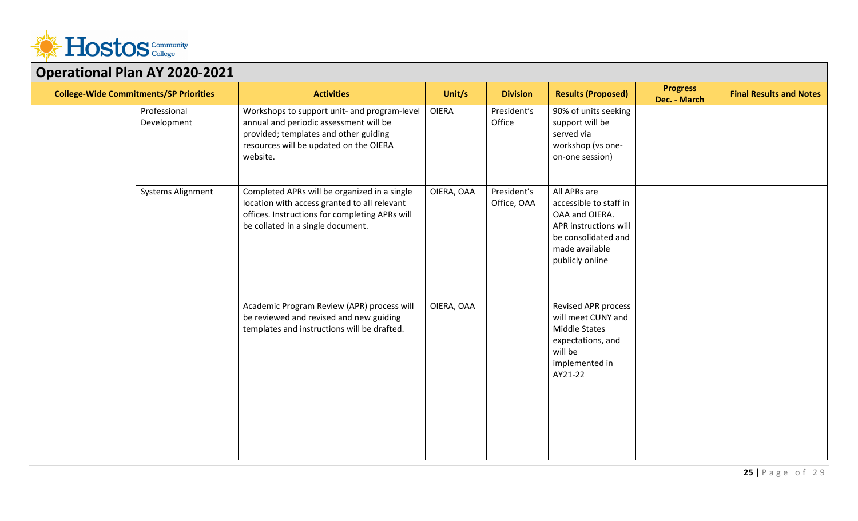

| Operational Fight AT 2020-2021                |                             |                                                                                                                                                                                       |              |                            |                                                                                                                                               |                                 |                                |
|-----------------------------------------------|-----------------------------|---------------------------------------------------------------------------------------------------------------------------------------------------------------------------------------|--------------|----------------------------|-----------------------------------------------------------------------------------------------------------------------------------------------|---------------------------------|--------------------------------|
| <b>College-Wide Commitments/SP Priorities</b> |                             | <b>Activities</b>                                                                                                                                                                     | Unit/s       | <b>Division</b>            | <b>Results (Proposed)</b>                                                                                                                     | <b>Progress</b><br>Dec. - March | <b>Final Results and Notes</b> |
|                                               | Professional<br>Development | Workshops to support unit- and program-level<br>annual and periodic assessment will be<br>provided; templates and other guiding<br>resources will be updated on the OIERA<br>website. | <b>OIERA</b> | President's<br>Office      | 90% of units seeking<br>support will be<br>served via<br>workshop (vs one-<br>on-one session)                                                 |                                 |                                |
|                                               | <b>Systems Alignment</b>    | Completed APRs will be organized in a single<br>location with access granted to all relevant<br>offices. Instructions for completing APRs will<br>be collated in a single document.   | OIERA, OAA   | President's<br>Office, OAA | All APRs are<br>accessible to staff in<br>OAA and OIERA.<br>APR instructions will<br>be consolidated and<br>made available<br>publicly online |                                 |                                |
|                                               |                             | Academic Program Review (APR) process will<br>be reviewed and revised and new guiding<br>templates and instructions will be drafted.                                                  | OIERA, OAA   |                            | <b>Revised APR process</b><br>will meet CUNY and<br><b>Middle States</b><br>expectations, and<br>will be<br>implemented in<br>AY21-22         |                                 |                                |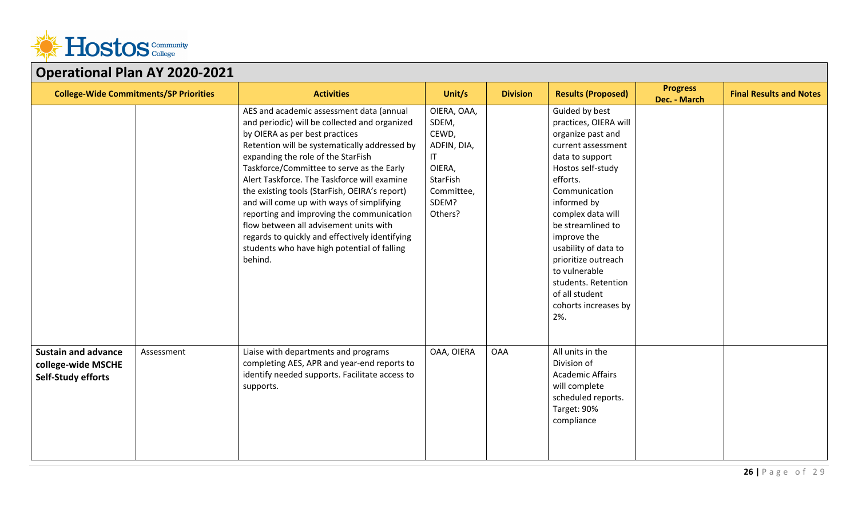

| <b>College-Wide Commitments/SP Priorities</b>                                 |            | <b>Activities</b>                                                                                                                                                                                                                                                                                                                                                                                                                                                                                                                                                                                               | Unit/s                                                                                                     | <b>Division</b> | <b>Results (Proposed)</b>                                                                                                                                                                                                                                                                                                                                               | <b>Progress</b><br>Dec. - March | <b>Final Results and Notes</b> |
|-------------------------------------------------------------------------------|------------|-----------------------------------------------------------------------------------------------------------------------------------------------------------------------------------------------------------------------------------------------------------------------------------------------------------------------------------------------------------------------------------------------------------------------------------------------------------------------------------------------------------------------------------------------------------------------------------------------------------------|------------------------------------------------------------------------------------------------------------|-----------------|-------------------------------------------------------------------------------------------------------------------------------------------------------------------------------------------------------------------------------------------------------------------------------------------------------------------------------------------------------------------------|---------------------------------|--------------------------------|
|                                                                               |            | AES and academic assessment data (annual<br>and periodic) will be collected and organized<br>by OIERA as per best practices<br>Retention will be systematically addressed by<br>expanding the role of the StarFish<br>Taskforce/Committee to serve as the Early<br>Alert Taskforce. The Taskforce will examine<br>the existing tools (StarFish, OEIRA's report)<br>and will come up with ways of simplifying<br>reporting and improving the communication<br>flow between all advisement units with<br>regards to quickly and effectively identifying<br>students who have high potential of falling<br>behind. | OIERA, OAA,<br>SDEM,<br>CEWD,<br>ADFIN, DIA,<br>IT<br>OIERA,<br>StarFish<br>Committee,<br>SDEM?<br>Others? |                 | Guided by best<br>practices, OIERA will<br>organize past and<br>current assessment<br>data to support<br>Hostos self-study<br>efforts.<br>Communication<br>informed by<br>complex data will<br>be streamlined to<br>improve the<br>usability of data to<br>prioritize outreach<br>to vulnerable<br>students. Retention<br>of all student<br>cohorts increases by<br>2%. |                                 |                                |
| <b>Sustain and advance</b><br>college-wide MSCHE<br><b>Self-Study efforts</b> | Assessment | Liaise with departments and programs<br>completing AES, APR and year-end reports to<br>identify needed supports. Facilitate access to<br>supports.                                                                                                                                                                                                                                                                                                                                                                                                                                                              | OAA, OIERA                                                                                                 | <b>OAA</b>      | All units in the<br>Division of<br><b>Academic Affairs</b><br>will complete<br>scheduled reports.<br>Target: 90%<br>compliance                                                                                                                                                                                                                                          |                                 |                                |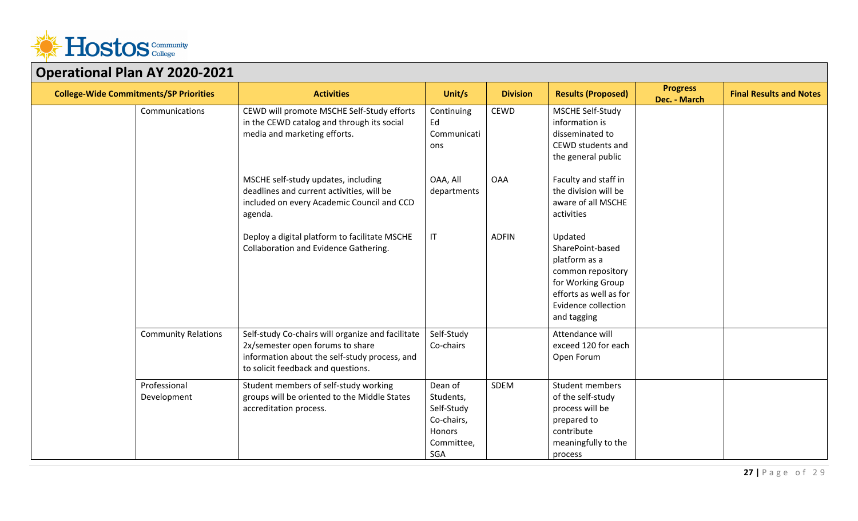

| <b>College-Wide Commitments/SP Priorities</b> |                             | <b>Activities</b>                                                                                                                                                            | Unit/s                                                                                 | <b>Division</b> | <b>Results (Proposed)</b>                                                                                                                              | <b>Progress</b><br>Dec. - March | <b>Final Results and Notes</b> |
|-----------------------------------------------|-----------------------------|------------------------------------------------------------------------------------------------------------------------------------------------------------------------------|----------------------------------------------------------------------------------------|-----------------|--------------------------------------------------------------------------------------------------------------------------------------------------------|---------------------------------|--------------------------------|
|                                               | Communications              | CEWD will promote MSCHE Self-Study efforts<br>in the CEWD catalog and through its social<br>media and marketing efforts.                                                     | Continuing<br>Ed<br>Communicati<br>ons                                                 | <b>CEWD</b>     | MSCHE Self-Study<br>information is<br>disseminated to<br>CEWD students and<br>the general public                                                       |                                 |                                |
|                                               |                             | MSCHE self-study updates, including<br>deadlines and current activities, will be<br>included on every Academic Council and CCD<br>agenda.                                    | OAA, All<br>departments                                                                | <b>OAA</b>      | Faculty and staff in<br>the division will be<br>aware of all MSCHE<br>activities                                                                       |                                 |                                |
|                                               |                             | Deploy a digital platform to facilitate MSCHE<br>Collaboration and Evidence Gathering.                                                                                       | $\ensuremath{\mathsf{IT}}\xspace$                                                      | <b>ADFIN</b>    | Updated<br>SharePoint-based<br>platform as a<br>common repository<br>for Working Group<br>efforts as well as for<br>Evidence collection<br>and tagging |                                 |                                |
|                                               | <b>Community Relations</b>  | Self-study Co-chairs will organize and facilitate<br>2x/semester open forums to share<br>information about the self-study process, and<br>to solicit feedback and questions. | Self-Study<br>Co-chairs                                                                |                 | Attendance will<br>exceed 120 for each<br>Open Forum                                                                                                   |                                 |                                |
|                                               | Professional<br>Development | Student members of self-study working<br>groups will be oriented to the Middle States<br>accreditation process.                                                              | Dean of<br>Students,<br>Self-Study<br>Co-chairs,<br>Honors<br>Committee,<br><b>SGA</b> | SDEM            | Student members<br>of the self-study<br>process will be<br>prepared to<br>contribute<br>meaningfully to the<br>process                                 |                                 |                                |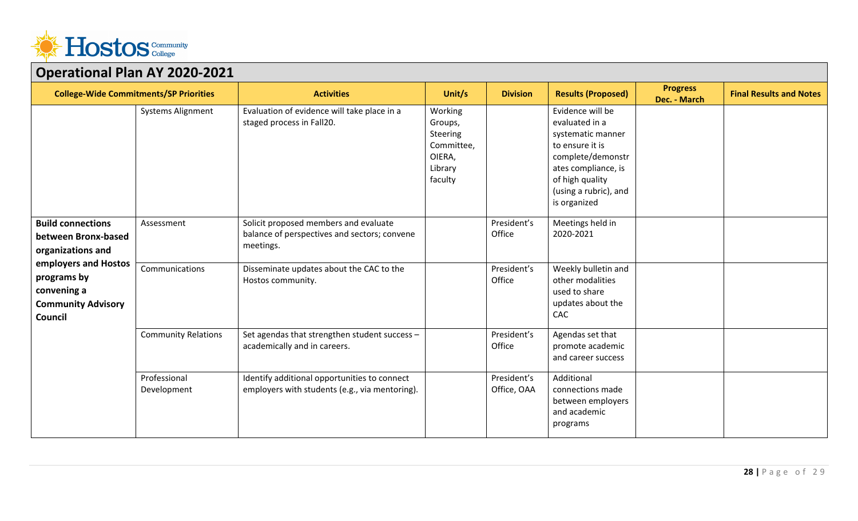

| OPCIANONAI I IAN AI LULU LULI                                                                                                                                      |                              |                                                                                                                                                |                                                                              |                                      |                                                                                                                                                                                    |                                 |                                |  |
|--------------------------------------------------------------------------------------------------------------------------------------------------------------------|------------------------------|------------------------------------------------------------------------------------------------------------------------------------------------|------------------------------------------------------------------------------|--------------------------------------|------------------------------------------------------------------------------------------------------------------------------------------------------------------------------------|---------------------------------|--------------------------------|--|
| <b>College-Wide Commitments/SP Priorities</b>                                                                                                                      |                              | <b>Activities</b>                                                                                                                              | Unit/s                                                                       | <b>Division</b>                      | <b>Results (Proposed)</b>                                                                                                                                                          | <b>Progress</b><br>Dec. - March | <b>Final Results and Notes</b> |  |
|                                                                                                                                                                    | <b>Systems Alignment</b>     | Evaluation of evidence will take place in a<br>staged process in Fall20.                                                                       | Working<br>Groups,<br>Steering<br>Committee,<br>OIERA,<br>Library<br>faculty |                                      | Evidence will be<br>evaluated in a<br>systematic manner<br>to ensure it is<br>complete/demonstr<br>ates compliance, is<br>of high quality<br>(using a rubric), and<br>is organized |                                 |                                |  |
| <b>Build connections</b><br>between Bronx-based<br>organizations and<br>employers and Hostos<br>programs by<br>convening a<br><b>Community Advisory</b><br>Council | Assessment<br>Communications | Solicit proposed members and evaluate<br>balance of perspectives and sectors; convene<br>meetings.<br>Disseminate updates about the CAC to the |                                                                              | President's<br>Office<br>President's | Meetings held in<br>2020-2021<br>Weekly bulletin and                                                                                                                               |                                 |                                |  |
|                                                                                                                                                                    |                              | Hostos community.                                                                                                                              |                                                                              | Office                               | other modalities<br>used to share<br>updates about the<br>CAC                                                                                                                      |                                 |                                |  |
|                                                                                                                                                                    | <b>Community Relations</b>   | Set agendas that strengthen student success -<br>academically and in careers.                                                                  |                                                                              | President's<br>Office                | Agendas set that<br>promote academic<br>and career success                                                                                                                         |                                 |                                |  |
|                                                                                                                                                                    | Professional<br>Development  | Identify additional opportunities to connect<br>employers with students (e.g., via mentoring).                                                 |                                                                              | President's<br>Office, OAA           | Additional<br>connections made<br>between employers<br>and academic<br>programs                                                                                                    |                                 |                                |  |